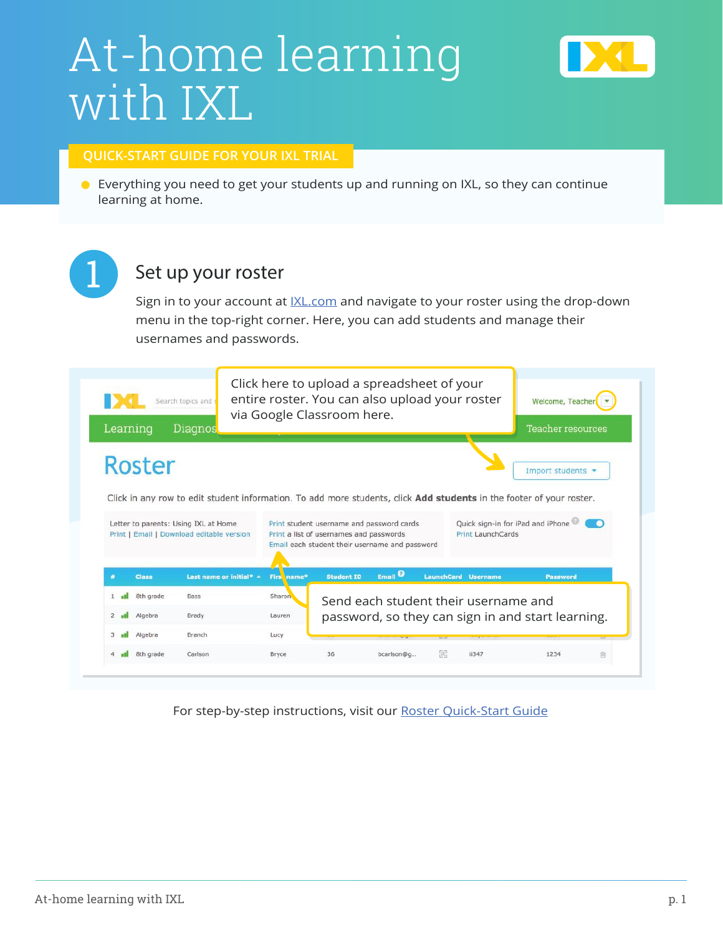# At-home learning with IXL



#### **QUICK-START GUIDE FOR YOUR IXL TRIAL**

Everything you need to get your students up and running on IXL, so they can continue learning at home.



#### Set up your roster

Sign in to your account at *IXL.com* and navigate to your roster using the drop-down menu in the top-right corner. Here, you can add students and manage their usernames and passwords.



For step-by-step instructions, visit our [Roster Quick-Start Guide](https://www.ixl.com/userguides/IXLQuickStart_Roster.pdf)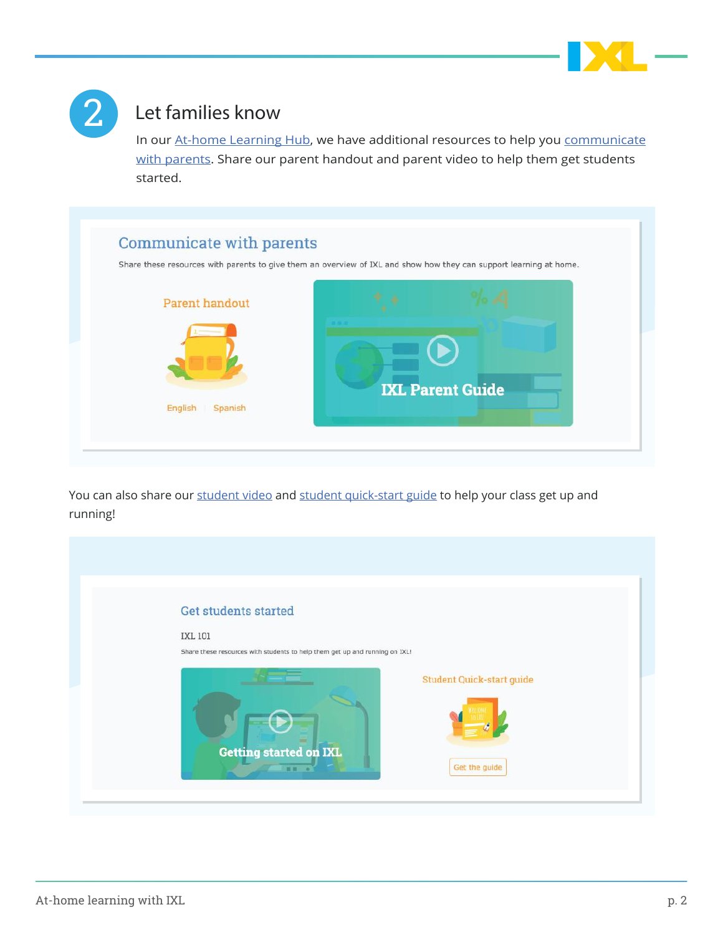



#### Let families know

In our [At-home Learning Hub,](https://www.ixl.com/resources/at-home-learning) we have additional resources to help you communicate [with parents.](https://www.ixl.com/resources/at-home-learning#parent) Share our parent handout and parent video to help them get students started.



You can also share ou[r student video](https://www.ixl.com/resources/at-home-learning#student) and [student quick-start guide](https://www.ixl.com/resources/at-home-learning#student) to help your class get up and running!

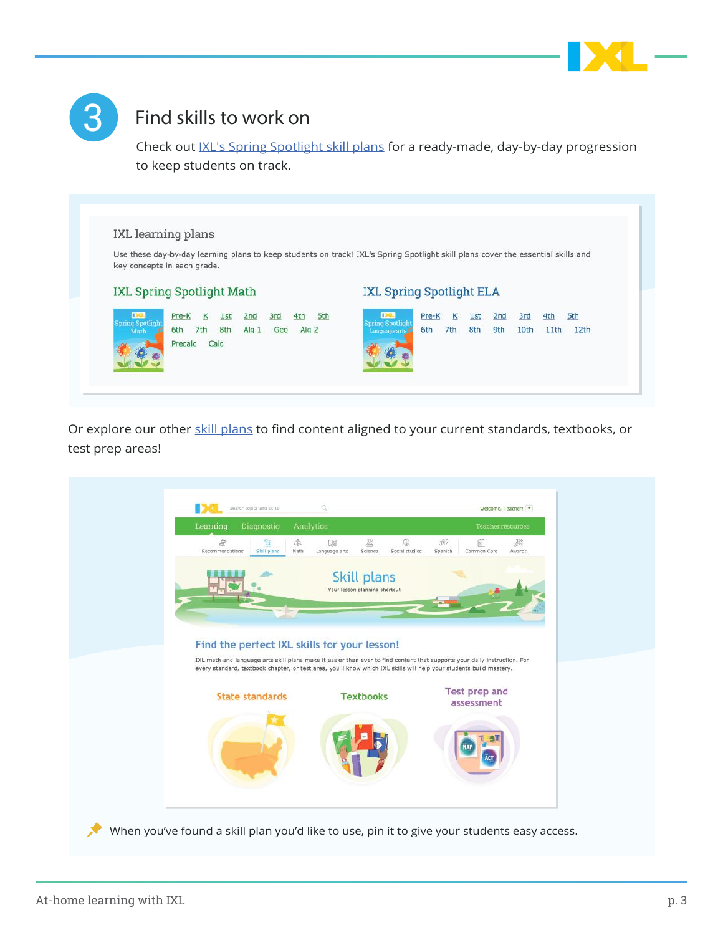



# Find skills to work on

Check out [IXL's Spring Spotlight skill plans](https://www.ixl.com/resources/at-home-learning#learning-plans) for a ready-made, day-by-day progression to keep students on track.



Or explore our other [skill plans](https://www.ixl.com/skill-plans/my-plans) to find content aligned to your current standards, textbooks, or test prep areas!

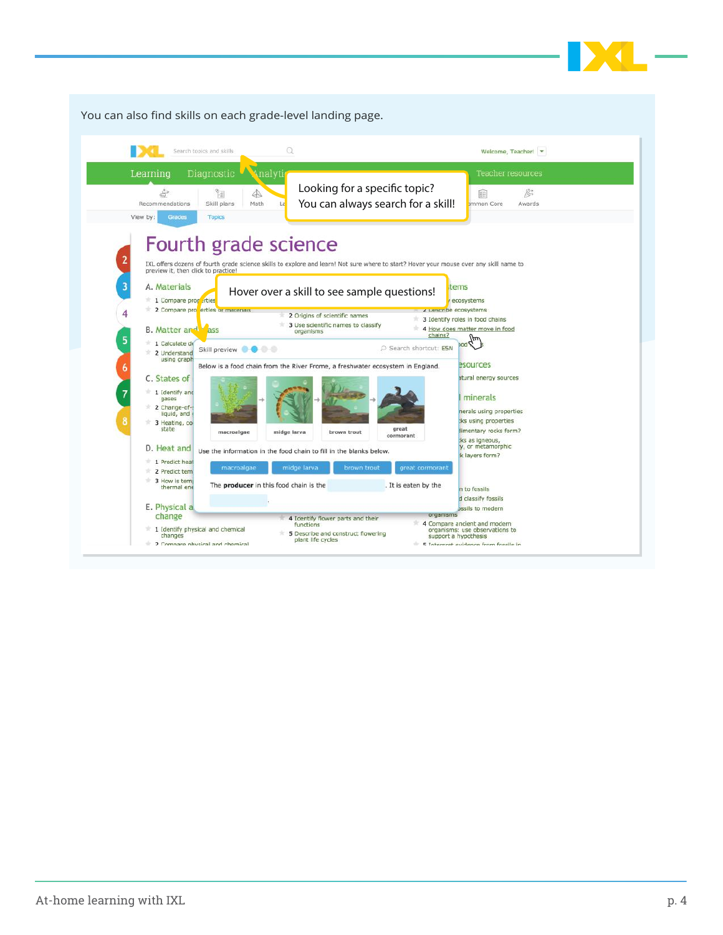

 $\Omega$ DCI Search topics and skills Welcome, Teacher!  $\sqrt{*}$ Learning **Analyti** Teacher resources Looking for a specific topic?  $\Rightarrow$  $\frac{q_1}{\left|\frac{q_1}{q_1}\right|}$  $\triangle$ 筐  $\mathcal{B}^*$ Recommendations Skill plans Math You can always search for a skill!mon Core Awards View by: Topics Fourth grade science IXL offers dozens of fourth grade science skills to explore and learn! Not sure where to start? Hover your mouse over any skill name to<br>preview it, then click to practice! A. Materials tems Hover over a skill to see sample questions! 1 Compare proparties ecosystems 2 Compare pro erties or mail  $\epsilon$  pescribe ecosystems 2 Origins of scientific names 3 Identify roles in food chains 3 Use scientific names to classify<br>organisms **B.** Matter and *L*ass 4 How does matter move in food chains? bod flm 1 Calculate de Skill preview **Order** P Search shortcut: ESN <sup>\*</sup> 2 Understand<br>using graph esources Below is a food chain from the River Frome, a freshwater ecosystem in England. C. States of stural energy sources 1 Identify and<br>gases minerals <sup>2</sup> 2 Change-oferals using properties :ks using properties 3 Heating, com great limentary rocks form? macroalgae midge larva brown trout ÷. :ks as igneous,<br>y, or metamorphic D. Heat and use the information in the food chain to fill in the blanks below. k layers form? 1 Predict heat macroalgae great cormoran 2 Predict tem 3 How is tempt The producer in this food chain is the It is eaten by the n to fossils d classify fossils d classify fossils<br>organisms E. Physical a 4 Identify flower parts and their<br>functions change 4 Compare ancient and modern<br>organisms: use observations to<br>support a hypothesis 1 Identify physical and chemical<br>changes<br>2 Compare physical and chemical 5 Describe and construct flowering<br>plant life cycles 5 Internat evidence from foccile in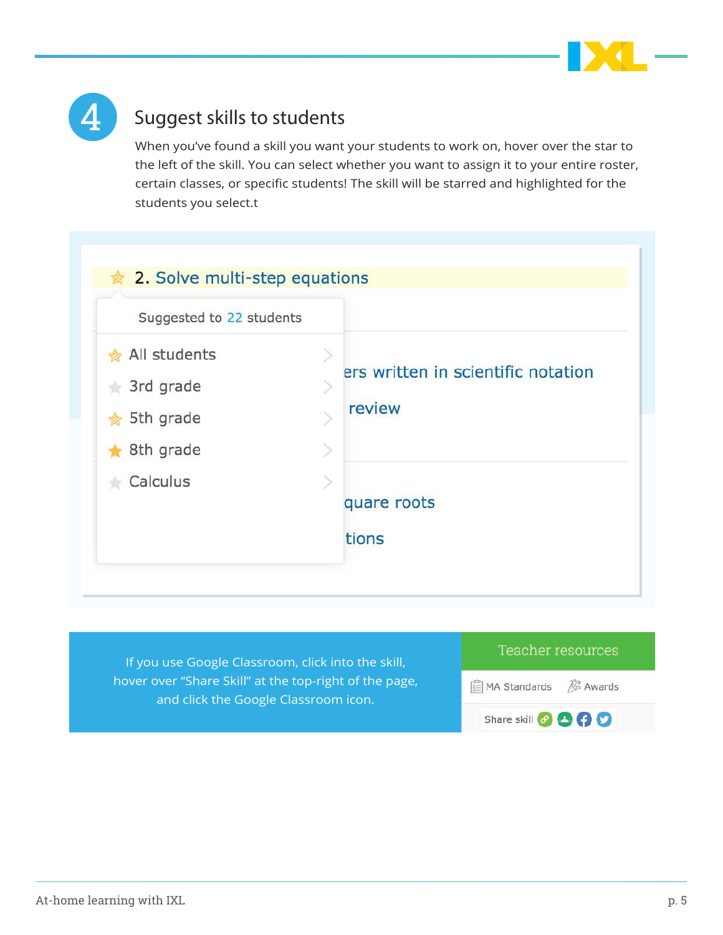



## Suggest skills to students

When you've found a skill you want your students to work on, hover over the star to the left of the skill. You can select whether you want to assign it to your entire roster, certain classes, or specific students! The skill will be starred and highlighted for the students you select.t

| Suggested to 22 students |                                    |
|--------------------------|------------------------------------|
| All students             |                                    |
| 3rd grade                | ers written in scientific notation |
| $\frac{1}{2}$ 5th grade  | review                             |
| 8th grade                |                                    |
| Calculus                 |                                    |
|                          | quare roots                        |
|                          | tions                              |

If you use Google Classroom, click into the skill, hover over "Share Skill" at the top-right of the page, and click the Google Classroom icon.

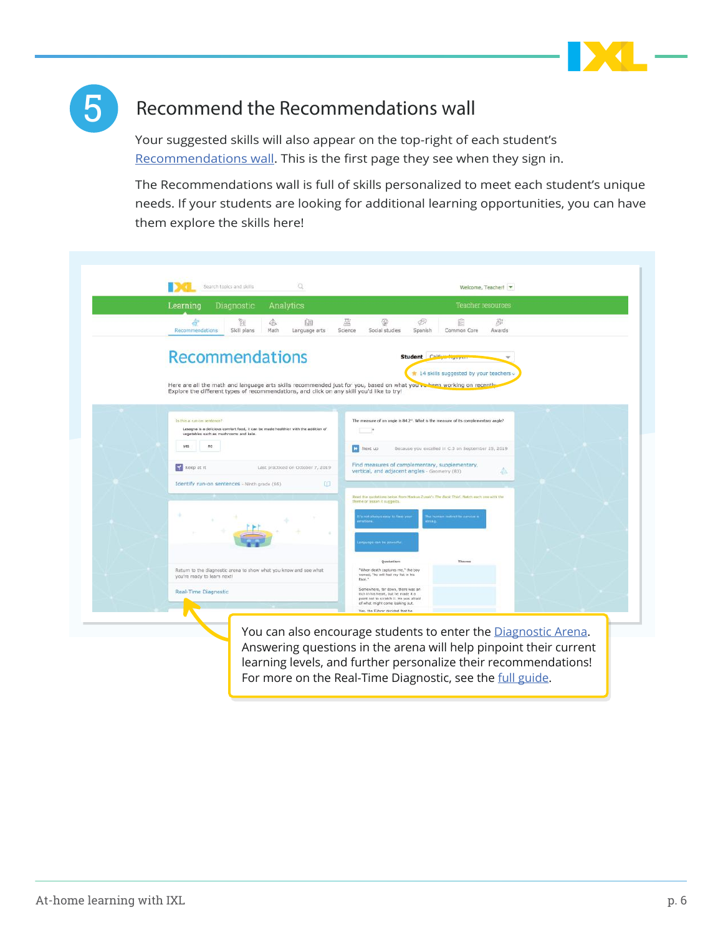



## Recommend the Recommendations wall

Your suggested skills will also appear on the top-right of each student's [Recommendations wall](https://www.ixl.com/recommendations/). This is the first page they see when they sign in.

The Recommendations wall is full of skills personalized to meet each student's unique needs. If your students are looking for additional learning opportunities, you can have them explore the skills here!

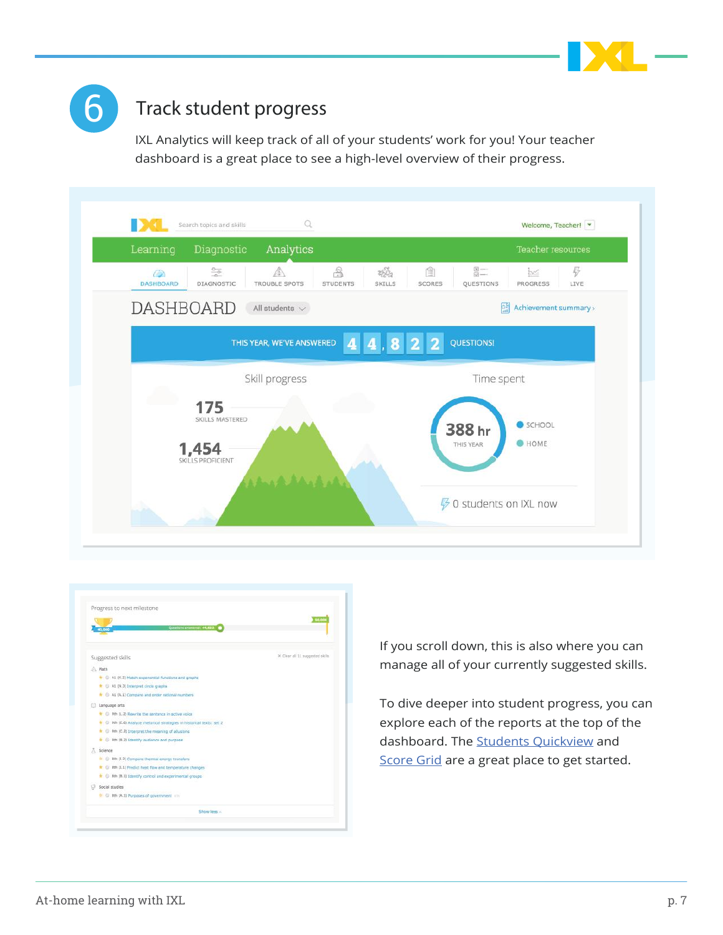



### Track student progress

IXL Analytics will keep track of all of your students' work for you! Your teacher dashboard is a great place to see a high-level overview of their progress.

| Learning                                                     | Diagnostic<br>Analytics   |                                          |                                                           |                    |                            | Teacher resources     |                                       |
|--------------------------------------------------------------|---------------------------|------------------------------------------|-----------------------------------------------------------|--------------------|----------------------------|-----------------------|---------------------------------------|
| $rac{0}{-0}$<br>$\bigcirc$<br><b>DASHBOARD</b><br>DIAGNOSTIC | A<br><b>TROUBLE SPOTS</b> | $\frac{\odot}{\odot}$<br><b>STUDENTS</b> | $\frac{1}{2} \sum_{i=1}^{N} \frac{1}{2}$<br><b>SKILLS</b> | 图<br><b>SCORES</b> | $\frac{1}{2}$<br>QUESTIONS | <b>M</b><br>PROGRESS  | 4<br>LIVE                             |
| <b>DASHBOARD</b>                                             | All students $\sqrt{}$    |                                          |                                                           |                    | 핵                          | Achievement summary > |                                       |
|                                                              | THIS YEAR, WE'VE ANSWERED |                                          | 4 4 8 2 2                                                 |                    | <b>QUESTIONS!</b>          |                       |                                       |
|                                                              | Skill progress            |                                          |                                                           |                    | Time spent                 |                       |                                       |
| 175                                                          | SKILLS MASTERED           |                                          |                                                           |                    |                            | SCHOOL                |                                       |
| 1,454                                                        |                           |                                          |                                                           |                    | 388 hr<br>THIS YEAR        | <b>O</b> HOME         |                                       |
| SKILLS PROFICIENT                                            |                           |                                          |                                                           |                    |                            |                       |                                       |
|                                                              |                           |                                          |                                                           |                    |                            |                       | <b><i>∳</i></b> 0 students on IXL now |



If you scroll down, this is also where you can manage all of your currently suggested skills.

To dive deeper into student progress, you can explore each of the reports at the top of the dashboard. The **Students Quickview** and [Score Grid](https://www.ixl.com/analytics/score-grid) are a great place to get started.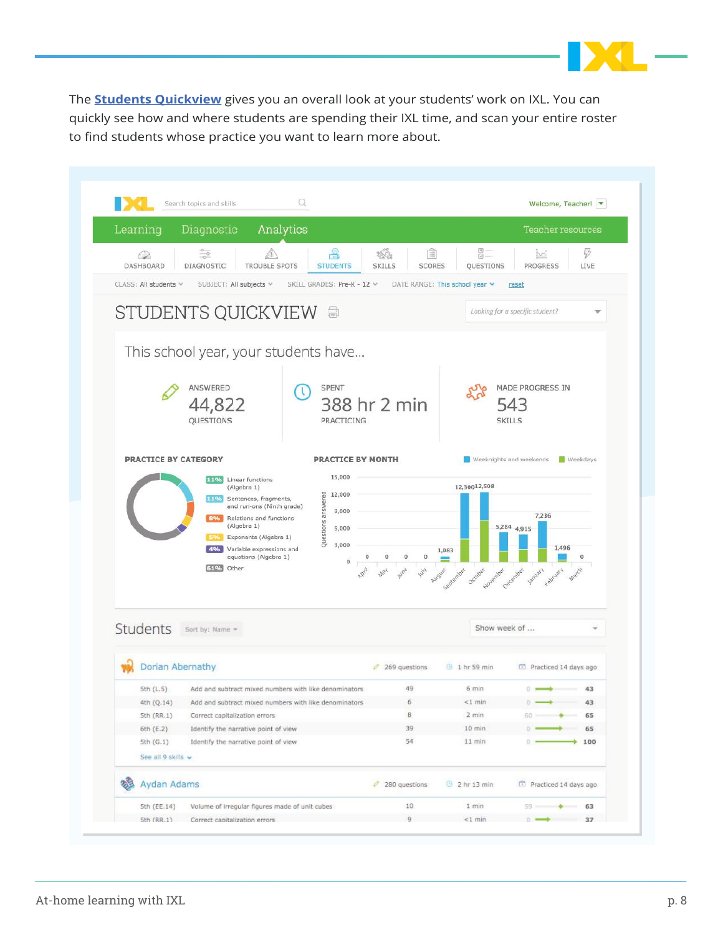

The **[Students Quickview](https://www.ixl.com/analytics/students-quickview)** gives you an overall look at your students' work on IXL. You can quickly see how and where students are spending their IXL time, and scan your entire roster to find students whose practice you want to learn more about.

|          |                                 | Search topics and skills                   | Q                                                     |                                             |                                                         | Welcome, Teacher!                   |  |  |  |  |  |
|----------|---------------------------------|--------------------------------------------|-------------------------------------------------------|---------------------------------------------|---------------------------------------------------------|-------------------------------------|--|--|--|--|--|
| Learning |                                 | Diagnostic                                 | Analytics                                             |                                             |                                                         | Teacher resources                   |  |  |  |  |  |
|          | $\bigcirc$<br>DASHBOARD         | $\frac{1}{\sqrt{2}}$<br><b>DIAGNOSTIC</b>  | S<br><b>TROUBLE SPOTS</b><br><b>STUDENTS</b>          | 筺<br>ぞうさし<br><b>SKILLS</b><br><b>SCORES</b> | $\frac{1}{2}$<br>QUESTIONS                              | B<br>be.<br><b>PROGRESS</b><br>LIVE |  |  |  |  |  |
|          | CLASS: All students v           | SUBJECT: All subjects v                    | SKILL GRADES: Pre-K - 12 V                            |                                             | DATE RANGE: This school year v                          | reset                               |  |  |  |  |  |
|          |                                 |                                            | <b>STUDENTS QUICKVIEW &amp;</b>                       |                                             |                                                         | Looking for a specific student?     |  |  |  |  |  |
|          |                                 |                                            | This school year, your students have                  |                                             |                                                         |                                     |  |  |  |  |  |
|          |                                 |                                            |                                                       |                                             |                                                         |                                     |  |  |  |  |  |
|          |                                 | <b>ANSWERED</b>                            | <b>SPENT</b>                                          |                                             |                                                         | MADE PROGRESS IN                    |  |  |  |  |  |
|          |                                 | 44,822                                     |                                                       | 388 hr 2 min                                |                                                         | 543                                 |  |  |  |  |  |
|          |                                 | QUESTIONS                                  |                                                       | PRACTICING                                  |                                                         | <b>SKILLS</b>                       |  |  |  |  |  |
|          | <b>PRACTICE BY CATEGORY</b>     |                                            |                                                       | PRACTICE BY MONTH                           |                                                         | Weeknights and weekends Neekdays    |  |  |  |  |  |
|          |                                 | 11% Linear functions                       |                                                       | 15,000                                      |                                                         |                                     |  |  |  |  |  |
|          |                                 | (Algebra 1)<br>11 Co Sentences, fragments, |                                                       | 12,000                                      | 12,30012,508                                            |                                     |  |  |  |  |  |
|          |                                 |                                            |                                                       |                                             |                                                         |                                     |  |  |  |  |  |
|          |                                 |                                            | and run-ons (Ninth grade)                             | 9,000                                       |                                                         |                                     |  |  |  |  |  |
|          |                                 | 8%<br>(Algebra 1)                          | Relations and functions                               | 6,000                                       |                                                         | 7,236                               |  |  |  |  |  |
|          |                                 | 5%                                         | Questions answered<br>Exponents (Algebra 1)           |                                             |                                                         | 5,284 4,915                         |  |  |  |  |  |
|          |                                 | 4%                                         | Variable expressions and<br>equations (Algebra 1)     | 3,000<br>0<br>$\bf{0}$<br>o                 | 1,083                                                   | 1,496                               |  |  |  |  |  |
|          |                                 | 61% Other                                  |                                                       | $\bf{0}$                                    |                                                         |                                     |  |  |  |  |  |
|          |                                 |                                            |                                                       |                                             | Occober povember December<br><b>Pugust</b><br>Sedeember | January<br>February<br>March        |  |  |  |  |  |
|          |                                 |                                            |                                                       |                                             |                                                         |                                     |  |  |  |  |  |
|          | Students                        | Sort by: Name =                            |                                                       |                                             | Show week of                                            |                                     |  |  |  |  |  |
|          | Dorian Abernathy                |                                            |                                                       | $269$ questions                             | <b>9 1 hr 59 min</b>                                    | Practiced 14 days ago               |  |  |  |  |  |
|          | Sth(L, 5)                       |                                            | Add and subtract mixed numbers with like denominators | 49                                          | $6 \text{ min}$                                         | 43<br>$\circ$ $\rightarrow$         |  |  |  |  |  |
|          | 4th (Q.14)                      |                                            | Add and subtract mixed numbers with like denominators | $\sqrt{6}$                                  | $<1$ min                                                | 43                                  |  |  |  |  |  |
|          | 5th (RR.1)                      | Correct capitalization errors              |                                                       | B                                           | $2 \text{ min}$                                         | 60<br>65                            |  |  |  |  |  |
|          | $6th$ (E.2)                     | Identify the narrative point of view       |                                                       | 39                                          | $10$ min                                                | O.<br>65                            |  |  |  |  |  |
|          | 5th (G.1)<br>See all 9 skills v | Identify the narrative point of view       |                                                       | 54                                          | $11$ min                                                | 0.23<br>100                         |  |  |  |  |  |
|          |                                 |                                            |                                                       | 280 questions                               | 9 2 hr 13 min                                           | Practiced 14 days ago.              |  |  |  |  |  |
|          | Aydan Adams<br>5th (EE.14)      |                                            | Volume of irregular figures made of unit cubes        | 10                                          | 1 min                                                   | $59 =$<br>63                        |  |  |  |  |  |